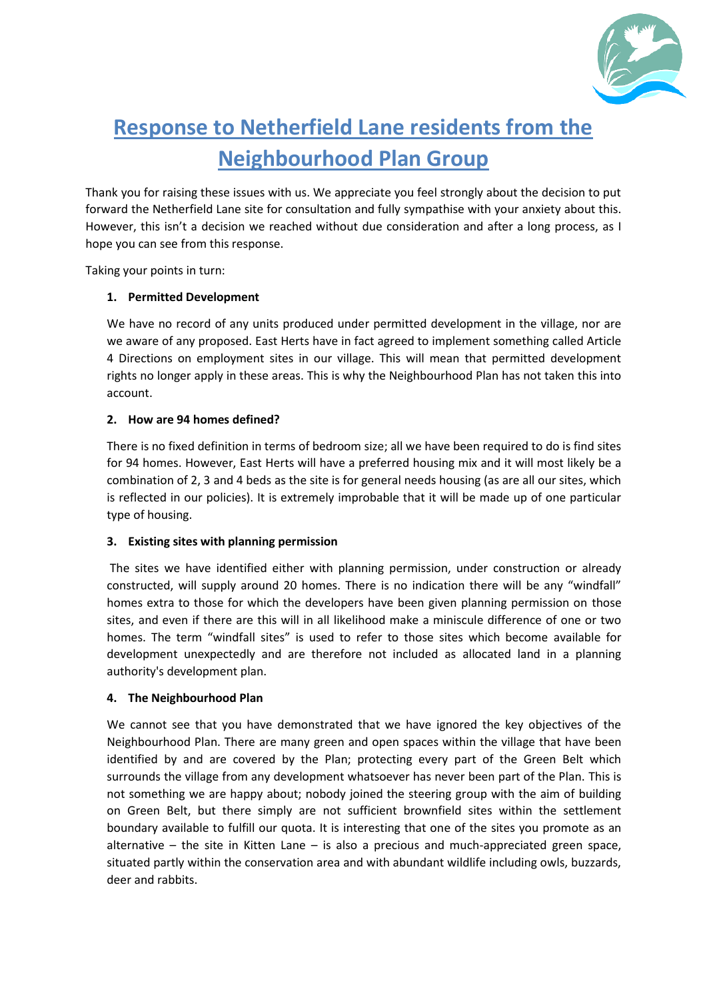

# **Response to Netherfield Lane residents from the Neighbourhood Plan Group**

Thank you for raising these issues with us. We appreciate you feel strongly about the decision to put forward the Netherfield Lane site for consultation and fully sympathise with your anxiety about this. However, this isn't a decision we reached without due consideration and after a long process, as I hope you can see from this response.

Taking your points in turn:

# **1. Permitted Development**

We have no record of any units produced under permitted development in the village, nor are we aware of any proposed. East Herts have in fact agreed to implement something called Article 4 Directions on employment sites in our village. This will mean that permitted development rights no longer apply in these areas. This is why the Neighbourhood Plan has not taken this into account.

# **2. How are 94 homes defined?**

There is no fixed definition in terms of bedroom size; all we have been required to do is find sites for 94 homes. However, East Herts will have a preferred housing mix and it will most likely be a combination of 2, 3 and 4 beds as the site is for general needs housing (as are all our sites, which is reflected in our policies). It is extremely improbable that it will be made up of one particular type of housing.

# **3. Existing sites with planning permission**

The sites we have identified either with planning permission, under construction or already constructed, will supply around 20 homes. There is no indication there will be any "windfall" homes extra to those for which the developers have been given planning permission on those sites, and even if there are this will in all likelihood make a miniscule difference of one or two homes. The term "windfall sites" is used to refer to those sites which become available for development unexpectedly and are therefore not included as allocated land in a planning authority's development plan.

# **4. The Neighbourhood Plan**

We cannot see that you have demonstrated that we have ignored the key objectives of the Neighbourhood Plan. There are many green and open spaces within the village that have been identified by and are covered by the Plan; protecting every part of the Green Belt which surrounds the village from any development whatsoever has never been part of the Plan. This is not something we are happy about; nobody joined the steering group with the aim of building on Green Belt, but there simply are not sufficient brownfield sites within the settlement boundary available to fulfill our quota. It is interesting that one of the sites you promote as an alternative – the site in Kitten Lane – is also a precious and much-appreciated green space, situated partly within the conservation area and with abundant wildlife including owls, buzzards, deer and rabbits.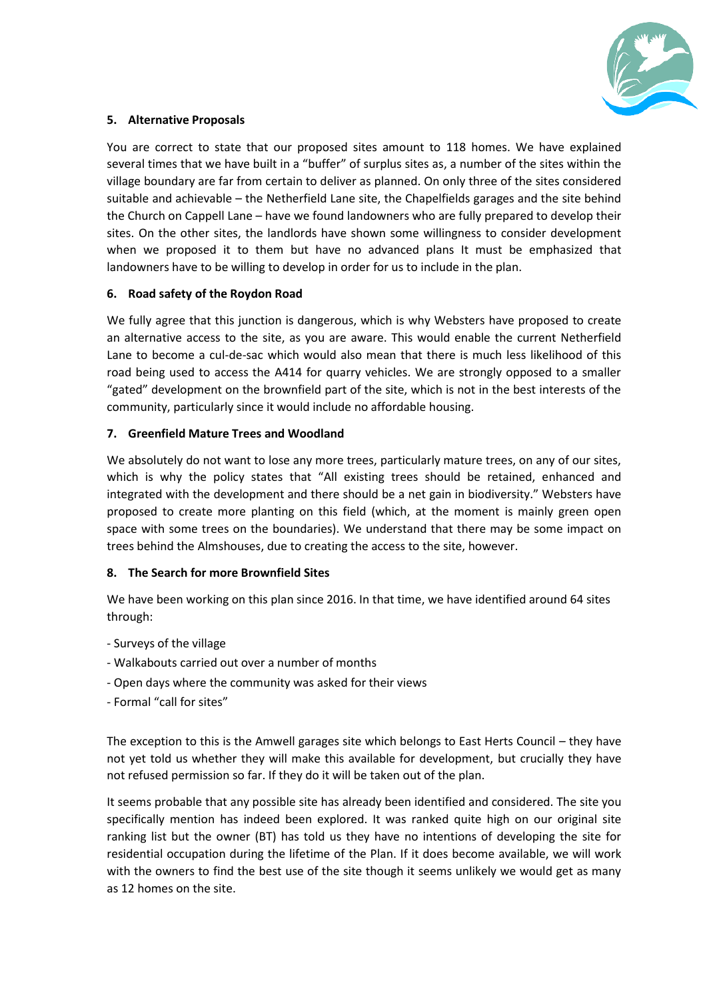

### **5. Alternative Proposals**

You are correct to state that our proposed sites amount to 118 homes. We have explained several times that we have built in a "buffer" of surplus sites as, a number of the sites within the village boundary are far from certain to deliver as planned. On only three of the sites considered suitable and achievable – the Netherfield Lane site, the Chapelfields garages and the site behind the Church on Cappell Lane – have we found landowners who are fully prepared to develop their sites. On the other sites, the landlords have shown some willingness to consider development when we proposed it to them but have no advanced plans It must be emphasized that landowners have to be willing to develop in order for us to include in the plan.

#### **6. Road safety of the Roydon Road**

We fully agree that this junction is dangerous, which is why Websters have proposed to create an alternative access to the site, as you are aware. This would enable the current Netherfield Lane to become a cul-de-sac which would also mean that there is much less likelihood of this road being used to access the A414 for quarry vehicles. We are strongly opposed to a smaller "gated" development on the brownfield part of the site, which is not in the best interests of the community, particularly since it would include no affordable housing.

#### **7. Greenfield Mature Trees and Woodland**

We absolutely do not want to lose any more trees, particularly mature trees, on any of our sites, which is why the policy states that "All existing trees should be retained, enhanced and integrated with the development and there should be a net gain in biodiversity." Websters have proposed to create more planting on this field (which, at the moment is mainly green open space with some trees on the boundaries). We understand that there may be some impact on trees behind the Almshouses, due to creating the access to the site, however.

# **8. The Search for more Brownfield Sites**

We have been working on this plan since 2016. In that time, we have identified around 64 sites through:

- Surveys of the village
- Walkabouts carried out over a number of months
- Open days where the community was asked for their views
- Formal "call for sites"

The exception to this is the Amwell garages site which belongs to East Herts Council – they have not yet told us whether they will make this available for development, but crucially they have not refused permission so far. If they do it will be taken out of the plan.

It seems probable that any possible site has already been identified and considered. The site you specifically mention has indeed been explored. It was ranked quite high on our original site ranking list but the owner (BT) has told us they have no intentions of developing the site for residential occupation during the lifetime of the Plan. If it does become available, we will work with the owners to find the best use of the site though it seems unlikely we would get as many as 12 homes on the site.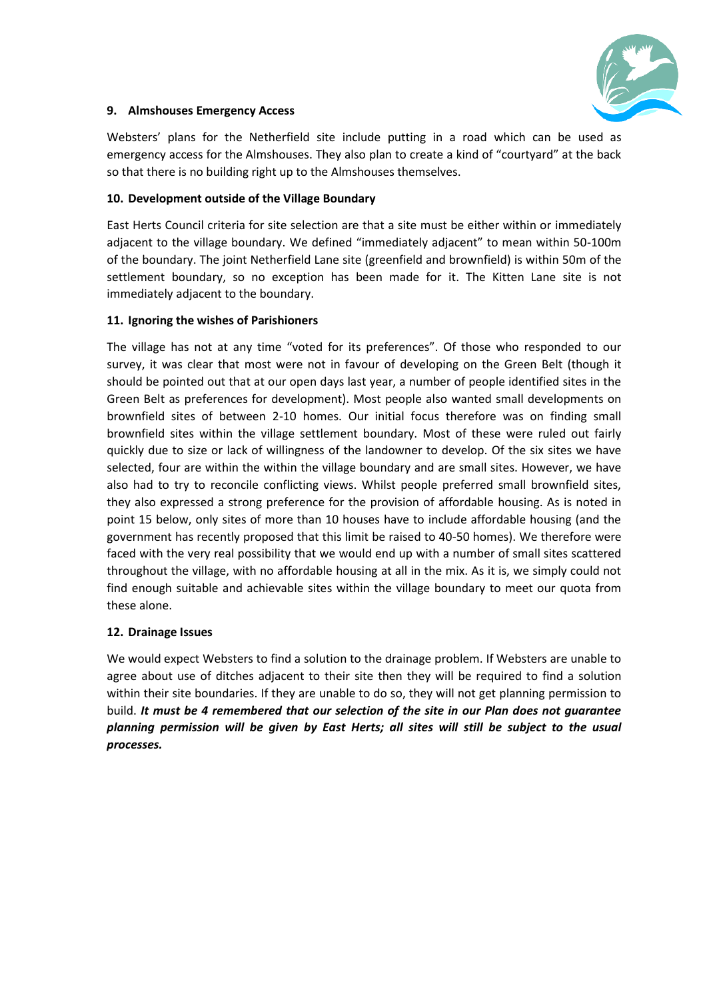

### **9. Almshouses Emergency Access**

Websters' plans for the Netherfield site include putting in a road which can be used as emergency access for the Almshouses. They also plan to create a kind of "courtyard" at the back so that there is no building right up to the Almshouses themselves.

#### **10. Development outside of the Village Boundary**

East Herts Council criteria for site selection are that a site must be either within or immediately adjacent to the village boundary. We defined "immediately adjacent" to mean within 50-100m of the boundary. The joint Netherfield Lane site (greenfield and brownfield) is within 50m of the settlement boundary, so no exception has been made for it. The Kitten Lane site is not immediately adjacent to the boundary.

#### **11. Ignoring the wishes of Parishioners**

The village has not at any time "voted for its preferences". Of those who responded to our survey, it was clear that most were not in favour of developing on the Green Belt (though it should be pointed out that at our open days last year, a number of people identified sites in the Green Belt as preferences for development). Most people also wanted small developments on brownfield sites of between 2-10 homes. Our initial focus therefore was on finding small brownfield sites within the village settlement boundary. Most of these were ruled out fairly quickly due to size or lack of willingness of the landowner to develop. Of the six sites we have selected, four are within the within the village boundary and are small sites. However, we have also had to try to reconcile conflicting views. Whilst people preferred small brownfield sites, they also expressed a strong preference for the provision of affordable housing. As is noted in point 15 below, only sites of more than 10 houses have to include affordable housing (and the government has recently proposed that this limit be raised to 40-50 homes). We therefore were faced with the very real possibility that we would end up with a number of small sites scattered throughout the village, with no affordable housing at all in the mix. As it is, we simply could not find enough suitable and achievable sites within the village boundary to meet our quota from these alone.

# **12. Drainage Issues**

We would expect Websters to find a solution to the drainage problem. If Websters are unable to agree about use of ditches adjacent to their site then they will be required to find a solution within their site boundaries. If they are unable to do so, they will not get planning permission to build. *It must be 4 remembered that our selection of the site in our Plan does not guarantee planning permission will be given by East Herts; all sites will still be subject to the usual processes.*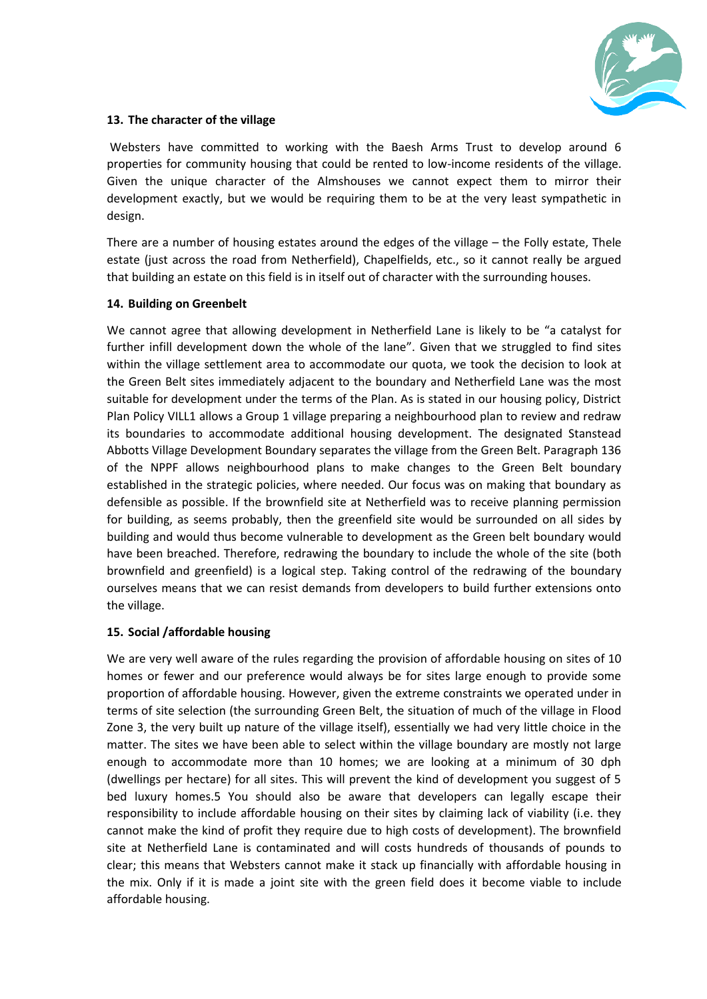

#### **13. The character of the village**

Websters have committed to working with the Baesh Arms Trust to develop around 6 properties for community housing that could be rented to low-income residents of the village. Given the unique character of the Almshouses we cannot expect them to mirror their development exactly, but we would be requiring them to be at the very least sympathetic in design.

There are a number of housing estates around the edges of the village – the Folly estate, Thele estate (just across the road from Netherfield), Chapelfields, etc., so it cannot really be argued that building an estate on this field is in itself out of character with the surrounding houses.

#### **14. Building on Greenbelt**

We cannot agree that allowing development in Netherfield Lane is likely to be "a catalyst for further infill development down the whole of the lane". Given that we struggled to find sites within the village settlement area to accommodate our quota, we took the decision to look at the Green Belt sites immediately adjacent to the boundary and Netherfield Lane was the most suitable for development under the terms of the Plan. As is stated in our housing policy, District Plan Policy VILL1 allows a Group 1 village preparing a neighbourhood plan to review and redraw its boundaries to accommodate additional housing development. The designated Stanstead Abbotts Village Development Boundary separates the village from the Green Belt. Paragraph 136 of the NPPF allows neighbourhood plans to make changes to the Green Belt boundary established in the strategic policies, where needed. Our focus was on making that boundary as defensible as possible. If the brownfield site at Netherfield was to receive planning permission for building, as seems probably, then the greenfield site would be surrounded on all sides by building and would thus become vulnerable to development as the Green belt boundary would have been breached. Therefore, redrawing the boundary to include the whole of the site (both brownfield and greenfield) is a logical step. Taking control of the redrawing of the boundary ourselves means that we can resist demands from developers to build further extensions onto the village.

# **15. Social /affordable housing**

We are very well aware of the rules regarding the provision of affordable housing on sites of 10 homes or fewer and our preference would always be for sites large enough to provide some proportion of affordable housing. However, given the extreme constraints we operated under in terms of site selection (the surrounding Green Belt, the situation of much of the village in Flood Zone 3, the very built up nature of the village itself), essentially we had very little choice in the matter. The sites we have been able to select within the village boundary are mostly not large enough to accommodate more than 10 homes; we are looking at a minimum of 30 dph (dwellings per hectare) for all sites. This will prevent the kind of development you suggest of 5 bed luxury homes.5 You should also be aware that developers can legally escape their responsibility to include affordable housing on their sites by claiming lack of viability (i.e. they cannot make the kind of profit they require due to high costs of development). The brownfield site at Netherfield Lane is contaminated and will costs hundreds of thousands of pounds to clear; this means that Websters cannot make it stack up financially with affordable housing in the mix. Only if it is made a joint site with the green field does it become viable to include affordable housing.